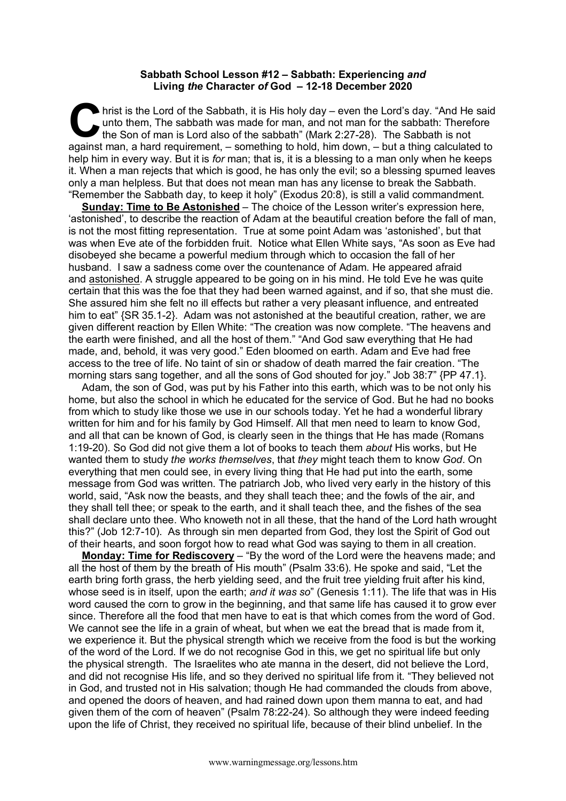## **Sabbath School Lesson #12 – Sabbath: Experiencing** *and*  **Living** *the* **Character** *of* **God – 12-18 December 2020**

hrist is the Lord of the Sabbath, it is His holy day – even the Lord's day. "And He said<br>unto them, The sabbath was made for man, and not man for the sabbath: Therefore<br>the Son of man is Lord also of the sabbath" (Mark 2:2 unto them, The sabbath was made for man, and not man for the sabbath: Therefore the Son of man is Lord also of the sabbath" (Mark 2:27-28). The Sabbath is not against man, a hard requirement, – something to hold, him down, – but a thing calculated to help him in every way. But it is *for* man; that is, it is a blessing to a man only when he keeps it. When a man rejects that which is good, he has only the evil; so a blessing spurned leaves only a man helpless. But that does not mean man has any license to break the Sabbath. "Remember the Sabbath day, to keep it holy" (Exodus 20:8), is still a valid commandment.

**Sunday: Time to Be Astonished** – The choice of the Lesson writer's expression here, 'astonished', to describe the reaction of Adam at the beautiful creation before the fall of man, is not the most fitting representation. True at some point Adam was 'astonished', but that was when Eve ate of the forbidden fruit. Notice what Ellen White says, "As soon as Eve had disobeyed she became a powerful medium through which to occasion the fall of her husband. I saw a sadness come over the countenance of Adam. He appeared afraid and astonished. A struggle appeared to be going on in his mind. He told Eve he was quite certain that this was the foe that they had been warned against, and if so, that she must die. She assured him she felt no ill effects but rather a very pleasant influence, and entreated him to eat" {SR 35.1-2}. Adam was not astonished at the beautiful creation, rather, we are given different reaction by Ellen White: "The creation was now complete. "The heavens and the earth were finished, and all the host of them." "And God saw everything that He had made, and, behold, it was very good." Eden bloomed on earth. Adam and Eve had free access to the tree of life. No taint of sin or shadow of death marred the fair creation. "The morning stars sang together, and all the sons of God shouted for joy." Job 38:7" {PP 47.1}.

Adam, the son of God, was put by his Father into this earth, which was to be not only his home, but also the school in which he educated for the service of God. But he had no books from which to study like those we use in our schools today. Yet he had a wonderful library written for him and for his family by God Himself. All that men need to learn to know God, and all that can be known of God, is clearly seen in the things that He has made (Romans 1:19-20). So God did not give them a lot of books to teach them *about* His works, but He wanted them to study *the works themselves*, that *they* might teach them to know *God*. On everything that men could see, in every living thing that He had put into the earth, some message from God was written. The patriarch Job, who lived very early in the history of this world, said, "Ask now the beasts, and they shall teach thee; and the fowls of the air, and they shall tell thee; or speak to the earth, and it shall teach thee, and the fishes of the sea shall declare unto thee. Who knoweth not in all these, that the hand of the Lord hath wrought this?" (Job 12:7-10). As through sin men departed from God, they lost the Spirit of God out of their hearts, and soon forgot how to read what God was saying to them in all creation.

**Monday: Time for Rediscovery** – "By the word of the Lord were the heavens made; and all the host of them by the breath of His mouth" (Psalm 33:6). He spoke and said, "Let the earth bring forth grass, the herb yielding seed, and the fruit tree yielding fruit after his kind, whose seed is in itself, upon the earth; *and it was so*" (Genesis 1:11). The life that was in His word caused the corn to grow in the beginning, and that same life has caused it to grow ever since. Therefore all the food that men have to eat is that which comes from the word of God. We cannot see the life in a grain of wheat, but when we eat the bread that is made from it, we experience it. But the physical strength which we receive from the food is but the working of the word of the Lord. If we do not recognise God in this, we get no spiritual life but only the physical strength. The Israelites who ate manna in the desert, did not believe the Lord, and did not recognise His life, and so they derived no spiritual life from it. "They believed not in God, and trusted not in His salvation; though He had commanded the clouds from above, and opened the doors of heaven, and had rained down upon them manna to eat, and had given them of the corn of heaven" (Psalm 78:22-24). So although they were indeed feeding upon the life of Christ, they received no spiritual life, because of their blind unbelief. In the